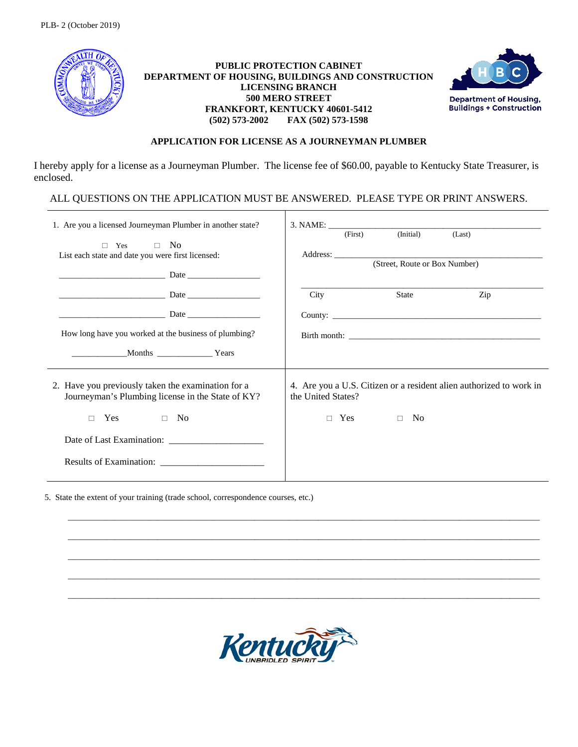

## **PUBLIC PROTECTION CABINET DEPARTMENT OF HOUSING, BUILDINGS AND CONSTRUCTION LICENSING BRANCH 500 MERO STREET FRANKFORT, KENTUCKY 40601-5412 (502) 573-2002 FAX (502) 573-1598**



## **APPLICATION FOR LICENSE AS A JOURNEYMAN PLUMBER**

I hereby apply for a license as a Journeyman Plumber. The license fee of \$60.00, payable to Kentucky State Treasurer, is enclosed.

ALL QUESTIONS ON THE APPLICATION MUST BE ANSWERED. PLEASE TYPE OR PRINT ANSWERS.

| 1. Are you a licensed Journeyman Plumber in another state?<br>No.<br>$\Box$<br>Yes<br>$\Box$<br>List each state and date you were first licensed: | (Initial)<br>(First)<br>(Last)<br>(Street, Route or Box Number)                                                                        |
|---------------------------------------------------------------------------------------------------------------------------------------------------|----------------------------------------------------------------------------------------------------------------------------------------|
| How long have you worked at the business of plumbing?<br>Months Years                                                                             | Zip<br>State<br><b>City</b>                                                                                                            |
| 2. Have you previously taken the examination for a<br>Journeyman's Plumbing license in the State of KY?<br><b>Yes</b><br>$\Box$ No<br>$\Box$      | 4. Are you a U.S. Citizen or a resident alien authorized to work in<br>the United States?<br>Yes<br>N <sub>0</sub><br>$\Box$<br>$\Box$ |

5. State the extent of your training (trade school, correspondence courses, etc.)



\_\_\_\_\_\_\_\_\_\_\_\_\_\_\_\_\_\_\_\_\_\_\_\_\_\_\_\_\_\_\_\_\_\_\_\_\_\_\_\_\_\_\_\_\_\_\_\_\_\_\_\_\_\_\_\_\_\_\_\_\_\_\_\_\_\_\_\_\_\_\_\_\_\_\_\_\_\_\_\_\_\_\_\_\_\_\_\_\_\_\_\_\_\_\_\_\_\_\_\_\_\_\_\_\_\_\_\_\_\_\_

\_\_\_\_\_\_\_\_\_\_\_\_\_\_\_\_\_\_\_\_\_\_\_\_\_\_\_\_\_\_\_\_\_\_\_\_\_\_\_\_\_\_\_\_\_\_\_\_\_\_\_\_\_\_\_\_\_\_\_\_\_\_\_\_\_\_\_\_\_\_\_\_\_\_\_\_\_\_\_\_\_\_\_\_\_\_\_\_\_\_\_\_\_\_\_\_\_\_\_\_\_\_\_\_\_\_\_\_\_\_\_

\_\_\_\_\_\_\_\_\_\_\_\_\_\_\_\_\_\_\_\_\_\_\_\_\_\_\_\_\_\_\_\_\_\_\_\_\_\_\_\_\_\_\_\_\_\_\_\_\_\_\_\_\_\_\_\_\_\_\_\_\_\_\_\_\_\_\_\_\_\_\_\_\_\_\_\_\_\_\_\_\_\_\_\_\_\_\_\_\_\_\_\_\_\_\_\_\_\_\_\_\_\_\_\_\_\_\_\_\_\_\_

\_\_\_\_\_\_\_\_\_\_\_\_\_\_\_\_\_\_\_\_\_\_\_\_\_\_\_\_\_\_\_\_\_\_\_\_\_\_\_\_\_\_\_\_\_\_\_\_\_\_\_\_\_\_\_\_\_\_\_\_\_\_\_\_\_\_\_\_\_\_\_\_\_\_\_\_\_\_\_\_\_\_\_\_\_\_\_\_\_\_\_\_\_\_\_\_\_\_\_\_\_\_\_\_\_\_\_\_\_\_\_

\_\_\_\_\_\_\_\_\_\_\_\_\_\_\_\_\_\_\_\_\_\_\_\_\_\_\_\_\_\_\_\_\_\_\_\_\_\_\_\_\_\_\_\_\_\_\_\_\_\_\_\_\_\_\_\_\_\_\_\_\_\_\_\_\_\_\_\_\_\_\_\_\_\_\_\_\_\_\_\_\_\_\_\_\_\_\_\_\_\_\_\_\_\_\_\_\_\_\_\_\_\_\_\_\_\_\_\_\_\_\_